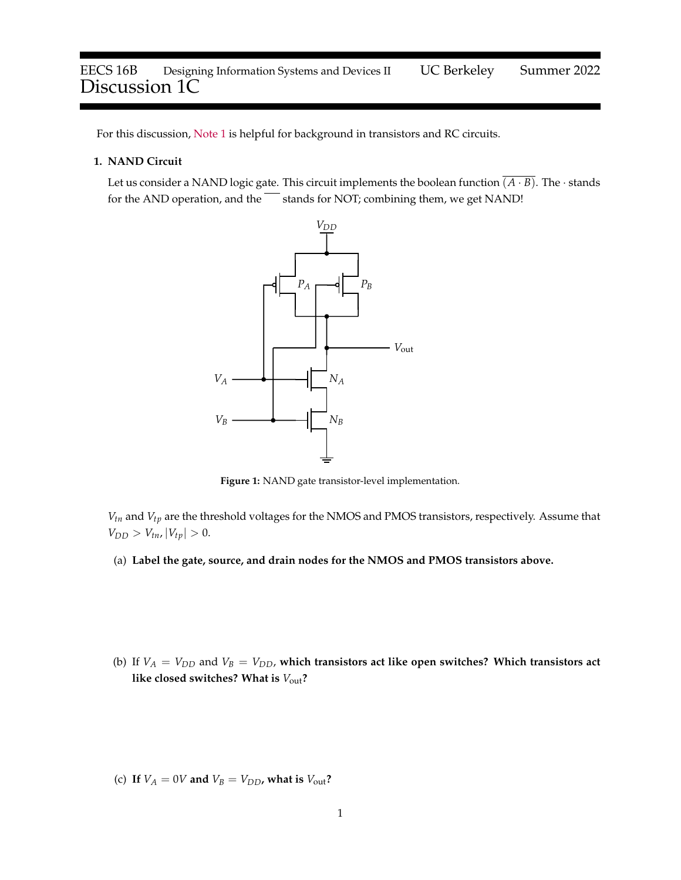For this discussion, [Note 1](https://eecs16b.org/notes/su22/note01.pdf) is helpful for background in transistors and RC circuits.

## **1. NAND Circuit**

Let us consider a NAND logic gate. This circuit implements the boolean function  $\overline{(A \cdot B)}$ . The · stands for the AND operation, and the  $\overline{\phantom{m}}$  stands for NOT; combining them, we get NAND!



**Figure 1:** NAND gate transistor-level implementation.

*Vtn* and *Vtp* are the threshold voltages for the NMOS and PMOS transistors, respectively. Assume that  $V_{DD} > V_{tn}$ ,  $|V_{tp}| > 0$ .

- (a) **Label the gate, source, and drain nodes for the NMOS and PMOS transistors above.**
- (b) If  $V_A = V_{DD}$  and  $V_B = V_{DD}$ , which transistors act like open switches? Which transistors act **like closed switches? What is** *V*out**?**

(c) If  $V_A = 0V$  and  $V_B = V_{DD}$ , what is  $V_{out}$ ?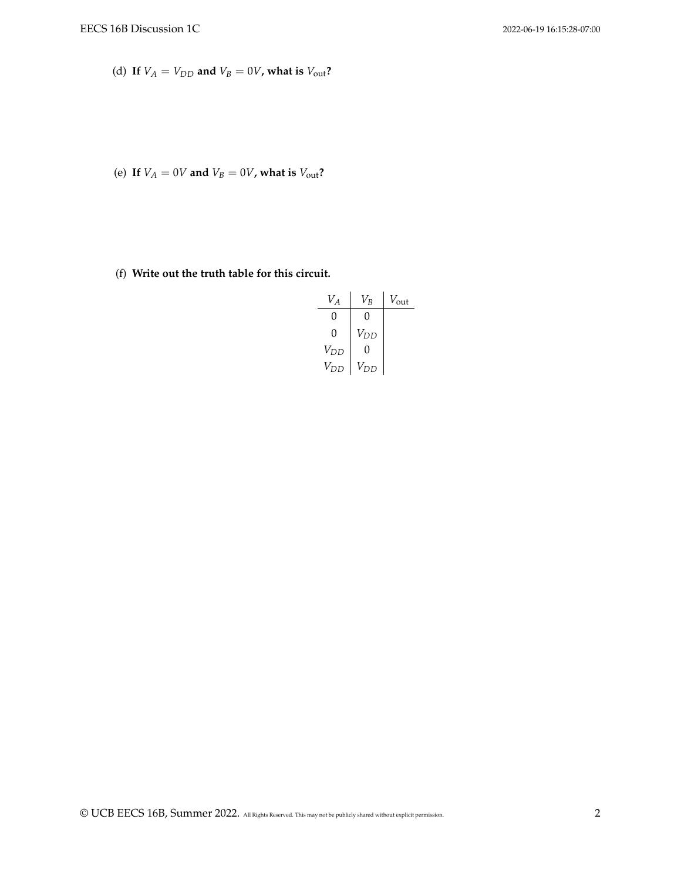(d) If  $V_A = V_{DD}$  and  $V_B = 0V$ , what is  $V_{out}$ ?

(e) If  $V_A = 0V$  and  $V_B = 0V$ , what is  $V_{\text{out}}$ ?

(f) **Write out the truth table for this circuit.**

| $V_A$         | $V_B\,$      | $V_{\text{out}}$ |
|---------------|--------------|------------------|
| $\mathcal{O}$ | $\theta$     |                  |
| $\mathcal{O}$ | $V_{DD}$     |                  |
| $V_{DD}$      | $\mathbf{0}$ |                  |
| $V_{DD}$      | $V_{DD}$     |                  |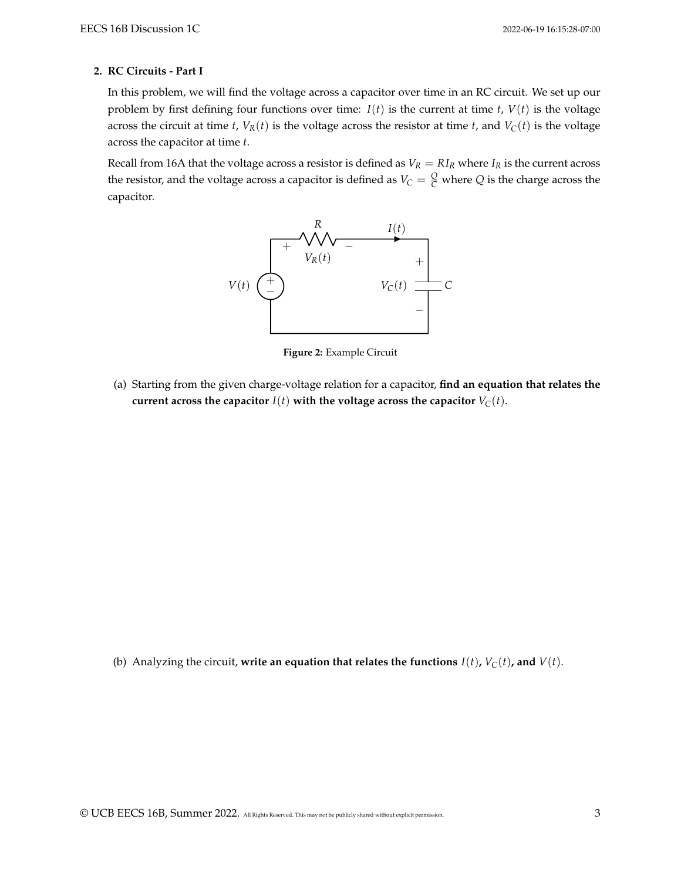## **2. RC Circuits - Part I**

In this problem, we will find the voltage across a capacitor over time in an RC circuit. We set up our problem by first defining four functions over time:  $I(t)$  is the current at time *t*,  $V(t)$  is the voltage across the circuit at time *t*,  $V_R(t)$  is the voltage across the resistor at time *t*, and  $V_C(t)$  is the voltage across the capacitor at time *t*.

Recall from 16A that the voltage across a resistor is defined as  $V_R = R I_R$  where  $I_R$  is the current across the resistor, and the voltage across a capacitor is defined as  $V_C = \frac{Q}{C}$  where  $Q$  is the charge across the capacitor.



**Figure 2:** Example Circuit

<span id="page-2-0"></span>(a) Starting from the given charge-voltage relation for a capacitor, **find an equation that relates the current across the capacitor**  $I(t)$  with the voltage across the capacitor  $V_C(t)$ .

<span id="page-2-1"></span>(b) Analyzing the circuit, write an equation that relates the functions  $I(t)$ ,  $V_C(t)$ , and  $V(t)$ .